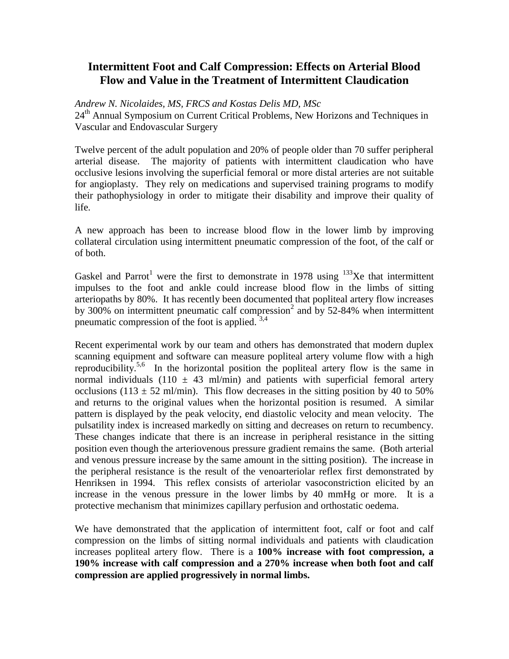# **Intermittent Foot and Calf Compression: Effects on Arterial Blood Flow and Value in the Treatment of Intermittent Claudication**

*Andrew N. Nicolaides, MS, FRCS and Kostas Delis MD, MSc*

24<sup>th</sup> Annual Symposium on Current Critical Problems, New Horizons and Techniques in Vascular and Endovascular Surgery

Twelve percent of the adult population and 20% of people older than 70 suffer peripheral arterial disease. The majority of patients with intermittent claudication who have occlusive lesions involving the superficial femoral or more distal arteries are not suitable for angioplasty. They rely on medications and supervised training programs to modify their pathophysiology in order to mitigate their disability and improve their quality of life.

A new approach has been to increase blood flow in the lower limb by improving collateral circulation using intermittent pneumatic compression of the foot, of the calf or of both.

Gaskel and Parrot<sup>1</sup> were the first to demonstrate in 1978 using  $133$ Xe that intermittent impulses to the foot and ankle could increase blood flow in the limbs of sitting arteriopaths by 80%. It has recently been documented that popliteal artery flow increases by 300% on intermittent pneumatic calf compression<sup>2</sup> and by 52-84% when intermittent pneumatic compression of the foot is applied.  $3,4$ 

Recent experimental work by our team and others has demonstrated that modern duplex scanning equipment and software can measure popliteal artery volume flow with a high reproducibility.<sup>5,6</sup> In the horizontal position the popliteal artery flow is the same in normal individuals (110  $\pm$  43 ml/min) and patients with superficial femoral artery occlusions (113  $\pm$  52 ml/min). This flow decreases in the sitting position by 40 to 50% and returns to the original values when the horizontal position is resumed. A similar pattern is displayed by the peak velocity, end diastolic velocity and mean velocity. The pulsatility index is increased markedly on sitting and decreases on return to recumbency. These changes indicate that there is an increase in peripheral resistance in the sitting position even though the arteriovenous pressure gradient remains the same. (Both arterial and venous pressure increase by the same amount in the sitting position). The increase in the peripheral resistance is the result of the venoarteriolar reflex first demonstrated by Henriksen in 1994. This reflex consists of arteriolar vasoconstriction elicited by an increase in the venous pressure in the lower limbs by 40 mmHg or more. It is a protective mechanism that minimizes capillary perfusion and orthostatic oedema.

We have demonstrated that the application of intermittent foot, calf or foot and calf compression on the limbs of sitting normal individuals and patients with claudication increases popliteal artery flow. There is a **100% increase with foot compression, a 190% increase with calf compression and a 270% increase when both foot and calf compression are applied progressively in normal limbs.**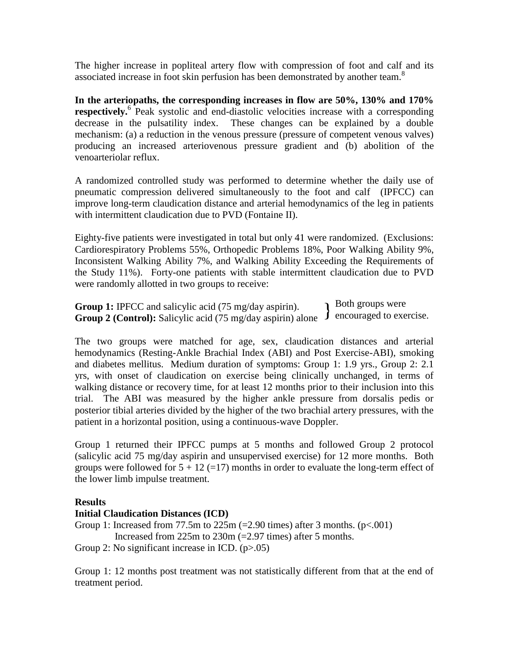The higher increase in popliteal artery flow with compression of foot and calf and its associated increase in foot skin perfusion has been demonstrated by another team.<sup>8</sup>

**In the arteriopaths, the corresponding increases in flow are 50%, 130% and 170%**  respectively.<sup>6</sup> Peak systolic and end-diastolic velocities increase with a corresponding decrease in the pulsatility index. These changes can be explained by a double mechanism: (a) a reduction in the venous pressure (pressure of competent venous valves) producing an increased arteriovenous pressure gradient and (b) abolition of the venoarteriolar reflux.

A randomized controlled study was performed to determine whether the daily use of pneumatic compression delivered simultaneously to the foot and calf (IPFCC) can improve long-term claudication distance and arterial hemodynamics of the leg in patients with intermittent claudication due to PVD (Fontaine II).

Eighty-five patients were investigated in total but only 41 were randomized. (Exclusions: Cardiorespiratory Problems 55%, Orthopedic Problems 18%, Poor Walking Ability 9%, Inconsistent Walking Ability 7%, and Walking Ability Exceeding the Requirements of the Study 11%). Forty-one patients with stable intermittent claudication due to PVD were randomly allotted in two groups to receive:

Group 1: IPFCC and salicylic acid (75 mg/day aspirin). Group 1: IPFCC and salicylic acid (75 mg/day aspirin).<br>
Group 2 (Control): Salicylic acid (75 mg/day aspirin) alone. I encouraged to exercise. Both groups were

The two groups were matched for age, sex, claudication distances and arterial hemodynamics (Resting-Ankle Brachial Index (ABI) and Post Exercise-ABI), smoking and diabetes mellitus. Medium duration of symptoms: Group 1: 1.9 yrs., Group 2: 2.1 yrs, with onset of claudication on exercise being clinically unchanged, in terms of walking distance or recovery time, for at least 12 months prior to their inclusion into this trial. The ABI was measured by the higher ankle pressure from dorsalis pedis or posterior tibial arteries divided by the higher of the two brachial artery pressures, with the patient in a horizontal position, using a continuous-wave Doppler.

Group 1 returned their IPFCC pumps at 5 months and followed Group 2 protocol (salicylic acid 75 mg/day aspirin and unsupervised exercise) for 12 more months. Both groups were followed for  $5 + 12$  (=17) months in order to evaluate the long-term effect of the lower limb impulse treatment.

# **Results**

# **Initial Claudication Distances (ICD)**

Group 1: Increased from 77.5m to  $225m$  (=2.90 times) after 3 months. (p<.001) Increased from 225m to 230m (=2.97 times) after 5 months.

Group 2: No significant increase in ICD. (p>.05)

Group 1: 12 months post treatment was not statistically different from that at the end of treatment period.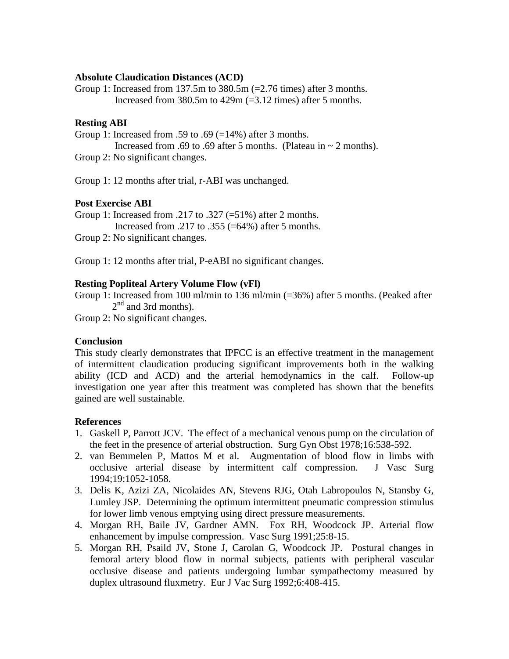### **Absolute Claudication Distances (ACD)**

Group 1: Increased from 137.5m to  $380.5m$  (=2.76 times) after 3 months. Increased from 380.5m to 429m (=3.12 times) after 5 months.

## **Resting ABI**

Group 1: Increased from .59 to .69  $(=14\%)$  after 3 months.

Increased from .69 to .69 after 5 months. (Plateau in  $\sim$  2 months).

Group 2: No significant changes.

Group 1: 12 months after trial, r-ABI was unchanged.

# **Post Exercise ABI**

Group 1: Increased from .217 to .327 (=51%) after 2 months.

Increased from .217 to .355 (=64%) after 5 months.

Group 2: No significant changes.

Group 1: 12 months after trial, P-eABI no significant changes.

### **Resting Popliteal Artery Volume Flow (vFl)**

Group 1: Increased from 100 ml/min to 136 ml/min (=36%) after 5 months. (Peaked after  $2<sup>nd</sup>$  and 3rd months).

Group 2: No significant changes.

# **Conclusion**

This study clearly demonstrates that IPFCC is an effective treatment in the management of intermittent claudication producing significant improvements both in the walking ability (ICD and ACD) and the arterial hemodynamics in the calf. Follow-up investigation one year after this treatment was completed has shown that the benefits gained are well sustainable.

# **References**

- 1. Gaskell P, Parrott JCV. The effect of a mechanical venous pump on the circulation of the feet in the presence of arterial obstruction. Surg Gyn Obst 1978;16:538-592.
- 2. van Bemmelen P, Mattos M et al. Augmentation of blood flow in limbs with occlusive arterial disease by intermittent calf compression. J Vasc Surg 1994;19:1052-1058.
- 3. Delis K, Azizi ZA, Nicolaides AN, Stevens RJG, Otah Labropoulos N, Stansby G, Lumley JSP. Determining the optimum intermittent pneumatic compression stimulus for lower limb venous emptying using direct pressure measurements.
- 4. Morgan RH, Baile JV, Gardner AMN. Fox RH, Woodcock JP. Arterial flow enhancement by impulse compression. Vasc Surg 1991;25:8-15.
- 5. Morgan RH, Psaild JV, Stone J, Carolan G, Woodcock JP. Postural changes in femoral artery blood flow in normal subjects, patients with peripheral vascular occlusive disease and patients undergoing lumbar sympathectomy measured by duplex ultrasound fluxmetry. Eur J Vac Surg 1992;6:408-415.